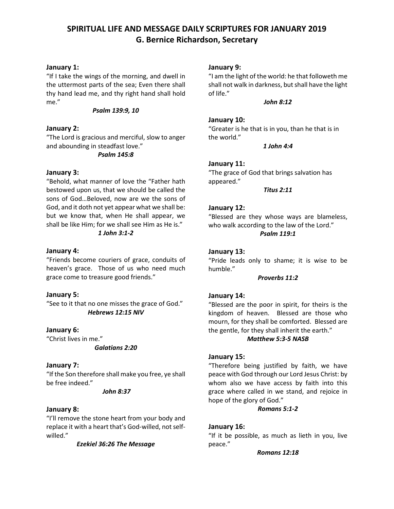# **SPIRITUAL LIFE AND MESSAGE DAILY SCRIPTURES FOR JANUARY 2019 G. Bernice Richardson, Secretary**

# **January 1:**

"If I take the wings of the morning, and dwell in the uttermost parts of the sea; Even there shall thy hand lead me, and thy right hand shall hold me."

#### *Psalm 139:9, 10*

# **January 2:**

"The Lord is gracious and merciful, slow to anger and abounding in steadfast love." *Psalm 145:8*

# **January 3:**

"Behold, what manner of love the "Father hath bestowed upon us, that we should be called the sons of God…Beloved, now are we the sons of God, and it doth not yet appear what we shall be: but we know that, when He shall appear, we shall be like Him; for we shall see Him as He is."

# *1 John 3:1-2*

#### **January 4:**

"Friends become couriers of grace, conduits of heaven's grace. Those of us who need much grace come to treasure good friends."

#### **January 5:**

"See to it that no one misses the grace of God." *Hebrews 12:15 NIV*

**January 6:** "Christ lives in me."

*Galatians 2:20*

# **January 7:**

"If the Son therefore shall make you free, ye shall be free indeed."

#### *John 8:37*

# **January 8:**

"I'll remove the stone heart from your body and replace it with a heart that's God-willed, not selfwilled."

#### *Ezekiel 36:26 The Message*

#### **January 9:**

"I am the light of the world: he that followeth me shall not walk in darkness, but shall have the light of life."

#### *John 8:12*

#### **January 10:**

"Greater is he that is in you, than he that is in the world."

*1 John 4:4*

#### **January 11:**

"The grace of God that brings salvation has appeared."

*Titus 2:11*

#### **January 12:**

"Blessed are they whose ways are blameless, who walk according to the law of the Lord." *Psalm 119:1* 

#### **January 13:**

"Pride leads only to shame; it is wise to be humble."

#### *Proverbs 11:2*

# **January 14:**

"Blessed are the poor in spirit, for theirs is the kingdom of heaven. Blessed are those who mourn, for they shall be comforted. Blessed are the gentle, for they shall inherit the earth."

#### *Matthew 5:3-5 NASB*

# **January 15:**

"Therefore being justified by faith, we have peace with God through our Lord Jesus Christ: by whom also we have access by faith into this grace where called in we stand, and rejoice in hope of the glory of God."

#### *Romans 5:1-2*

# **January 16:**

"If it be possible, as much as lieth in you, live peace."

#### *Romans 12:18*